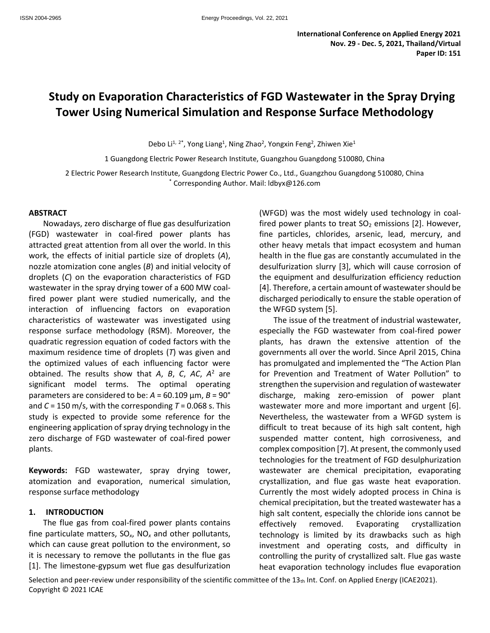# **Study on Evaporation Characteristics of FGD Wastewater in the Spray Drying Tower Using Numerical Simulation and Response Surface Methodology**

Debo Li<sup>1, 2\*</sup>, Yong Liang<sup>1</sup>, Ning Zhao<sup>2</sup>, Yongxin Feng<sup>2</sup>, Zhiwen Xie<sup>1</sup>

1 Guangdong Electric Power Research Institute, Guangzhou Guangdong 510080, China

2 Electric Power Research Institute, Guangdong Electric Power Co., Ltd., Guangzhou Guangdong 510080, China \* Corresponding Author. Mail: ldbyx@126.com

#### **ABSTRACT**

Nowadays, zero discharge of flue gas desulfurization (FGD) wastewater in coal-fired power plants has attracted great attention from all over the world. In this work, the effects of initial particle size of droplets (*A*), nozzle atomization cone angles (*B*) and initial velocity of droplets (*C*) on the evaporation characteristics of FGD wastewater in the spray drying tower of a 600 MW coalfired power plant were studied numerically, and the interaction of influencing factors on evaporation characteristics of wastewater was investigated using response surface methodology (RSM). Moreover, the quadratic regression equation of coded factors with the maximum residence time of droplets (*T*) was given and the optimized values of each influencing factor were obtained. The results show that *A*, *B*, *C*, *AC*, *A* <sup>2</sup> are significant model terms. The optimal operating parameters are considered to be: *A* = 60.109 μm, *B* = 90° and *C* = 150 m/s, with the corresponding *T* = 0.068 s. This study is expected to provide some reference for the engineering application of spray drying technology in the zero discharge of FGD wastewater of coal-fired power plants.

**Keywords:** FGD wastewater, spray drying tower, atomization and evaporation, numerical simulation, response surface methodology

#### **1. INTRODUCTION**

The flue gas from coal-fired power plants contains fine particulate matters, SO*x*, NO*<sup>x</sup>* and other pollutants, which can cause great pollution to the environment, so it is necessary to remove the pollutants in the flue gas [1]. The limestone-gypsum wet flue gas desulfurization (WFGD) was the most widely used technology in coalfired power plants to treat  $SO<sub>2</sub>$  emissions [2]. However, fine particles, chlorides, arsenic, lead, mercury, and other heavy metals that impact ecosystem and human health in the flue gas are constantly accumulated in the desulfurization slurry [3], which will cause corrosion of the equipment and desulfurization efficiency reduction [4]. Therefore, a certain amount of wastewater should be discharged periodically to ensure the stable operation of the WFGD system [5].

The issue of the treatment of industrial wastewater, especially the FGD wastewater from coal-fired power plants, has drawn the extensive attention of the governments all over the world. Since April 2015, China has promulgated and implemented the "The Action Plan for Prevention and Treatment of Water Pollution" to strengthen the supervision and regulation of wastewater discharge, making zero-emission of power plant wastewater more and more important and urgent [6]. Nevertheless, the wastewater from a WFGD system is difficult to treat because of its high salt content, high suspended matter content, high corrosiveness, and complex composition [7]. At present, the commonly used technologies for the treatment of FGD desulphurization wastewater are chemical precipitation, evaporating crystallization, and flue gas waste heat evaporation. Currently the most widely adopted process in China is chemical precipitation, but the treated wastewater has a high salt content, especially the chloride ions cannot be effectively removed. Evaporating crystallization technology is limited by its drawbacks such as high investment and operating costs, and difficulty in controlling the purity of crystallized salt. Flue gas waste heat evaporation technology includes flue evaporation

Selection and peer-review under responsibility of the scientific committee of the  $13<sub>th</sub>$  Int. Conf. on Applied Energy (ICAE2021). Copyright © 2021 ICAE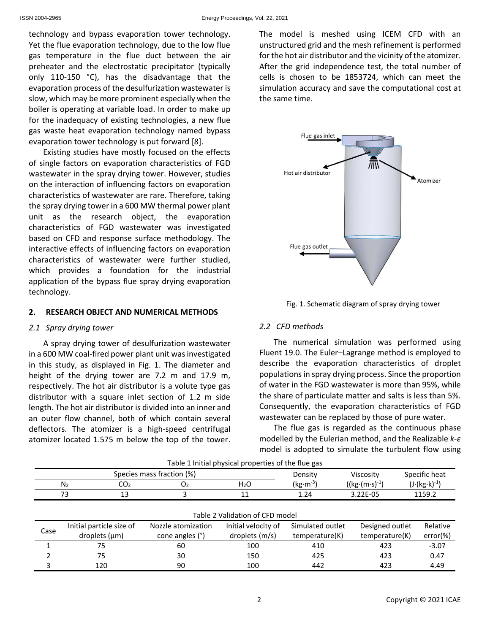technology and bypass evaporation tower technology. Yet the flue evaporation technology, due to the low flue gas temperature in the flue duct between the air preheater and the electrostatic precipitator (typically only 110-150 °C), has the disadvantage that the evaporation process of the desulfurization wastewater is slow, which may be more prominent especially when the boiler is operating at variable load. In order to make up for the inadequacy of existing technologies, a new flue gas waste heat evaporation technology named bypass evaporation tower technology is put forward [8].

Existing studies have mostly focused on the effects of single factors on evaporation characteristics of FGD wastewater in the spray drying tower. However, studies on the interaction of influencing factors on evaporation characteristics of wastewater are rare. Therefore, taking the spray drying tower in a 600 MW thermal power plant unit as the research object, the evaporation characteristics of FGD wastewater was investigated based on CFD and response surface methodology. The interactive effects of influencing factors on evaporation characteristics of wastewater were further studied, which provides a foundation for the industrial application of the bypass flue spray drying evaporation technology.

#### **2. RESEARCH OBJECT AND NUMERICAL METHODS**

#### *2.1 Spray drying tower*

A spray drying tower of desulfurization wastewater in a 600 MW coal-fired power plant unit was investigated in this study, as displayed in Fig. 1. The diameter and height of the drying tower are 7.2 m and 17.9 m, respectively. The hot air distributor is a volute type gas distributor with a square inlet section of 1.2 m side length. The hot air distributor is divided into an inner and an outer flow channel, both of which contain several deflectors. The atomizer is a high-speed centrifugal atomizer located 1.575 m below the top of the tower. The model is meshed using ICEM CFD with an unstructured grid and the mesh refinement is performed for the hot air distributor and the vicinity of the atomizer. After the grid independence test, the total number of cells is chosen to be 1853724, which can meet the simulation accuracy and save the computational cost at the same time.



Fig. 1. Schematic diagram of spray drying tower

# *2.2 CFD methods*

The numerical simulation was performed using Fluent 19.0. The Euler–Lagrange method is employed to describe the evaporation characteristics of droplet populations in spray drying process. Since the proportion of water in the FGD wastewater is more than 95%, while the share of particulate matter and salts is less than 5%. Consequently, the evaporation characteristics of FGD wastewater can be replaced by those of pure water.

The flue gas is regarded as the continuous phase modelled by the Eulerian method, and the Realizable *k-ε* model is adopted to simulate the turbulent flow using

|                                 |                                   | Species mass fraction (%) |                     | Density          | Viscosity       | Specific heat                 |  |  |  |
|---------------------------------|-----------------------------------|---------------------------|---------------------|------------------|-----------------|-------------------------------|--|--|--|
|                                 | N <sub>2</sub><br>CO <sub>2</sub> | O <sub>2</sub>            | H <sub>2</sub> O    | $(kg·m-3)$       | $((kg·(m·s)-1)$ | $(J \cdot (kg \cdot k)^{-1})$ |  |  |  |
|                                 | 13<br>73                          |                           | 11                  | 1.24             | 3.22E-05        | 1159.2                        |  |  |  |
|                                 |                                   |                           |                     |                  |                 |                               |  |  |  |
| Table 2 Validation of CFD model |                                   |                           |                     |                  |                 |                               |  |  |  |
| Case                            | Initial particle size of          | Nozzle atomization        | Initial velocity of | Simulated outlet | Designed outlet | Relative                      |  |  |  |
|                                 | droplets $(\mu m)$                | cone angles (°)           | droplets (m/s)      | temperature(K)   | temperature(K)  | error(%)                      |  |  |  |
|                                 | 75                                | 60                        | 100                 | 410              | 423             | $-3.07$                       |  |  |  |
|                                 | 75                                | 30                        | 150                 | 425              | 423             | 0.47                          |  |  |  |

3 120 90 100 442 423 4.49

| Table 1 Initial physical properties of the flue gas |  |  |
|-----------------------------------------------------|--|--|
|-----------------------------------------------------|--|--|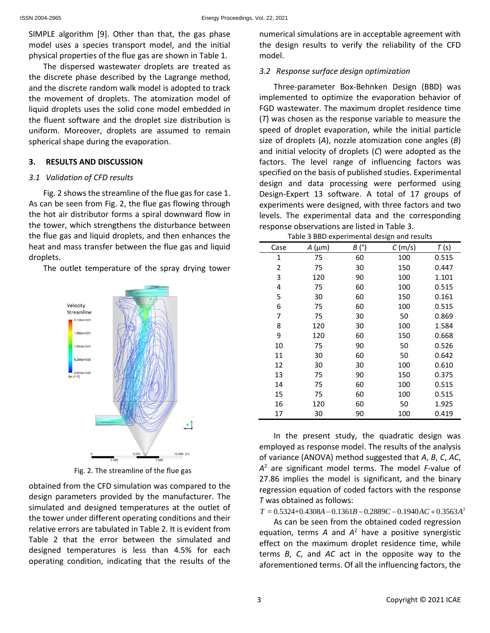SIMPLE algorithm [9]. Other than that, the gas phase model uses a species transport model, and the initial physical properties of the flue gas are shown in Table 1.

The dispersed wastewater droplets are treated as the discrete phase described by the Lagrange method, and the discrete random walk model is adopted to track the movement of droplets. The atomization model of liquid droplets uses the solid cone model embedded in the fluent software and the droplet size distribution is uniform. Moreover, droplets are assumed to remain spherical shape during the evaporation.

#### **3. RESULTS AND DISCUSSION**

#### *3.1 Validation of CFD results*

Fig. 2 shows the streamline of the flue gas for case 1. As can be seen from Fig. 2, the flue gas flowing through the hot air distributor forms a spiral downward flow in the tower, which strengthens the disturbance between the flue gas and liquid droplets, and then enhances the heat and mass transfer between the flue gas and liquid droplets.

The outlet temperature of the spray drying tower



Fig. 2. The streamline of the flue gas

obtained from the CFD simulation was compared to the design parameters provided by the manufacturer. The simulated and designed temperatures at the outlet of the tower under different operating conditions and their relative errors are tabulated in Table 2. It is evident from Table 2 that the error between the simulated and designed temperatures is less than 4.5% for each operating condition, indicating that the results of the

numerical simulations are in acceptable agreement with the design results to verify the reliability of the CFD model.

# *3.2 Response surface design optimization*

Three-parameter Box-Behnken Design (BBD) was implemented to optimize the evaporation behavior of FGD wastewater. The maximum droplet residence time (*T*) was chosen as the response variable to measure the speed of droplet evaporation, while the initial particle size of droplets (*A*), nozzle atomization cone angles (*B*) and initial velocity of droplets (*C*) were adopted as the factors. The level range of influencing factors was specified on the basis of published studies. Experimental design and data processing were performed using Design-Expert 13 software. A total of 17 groups of experiments were designed, with three factors and two levels. The experimental data and the corresponding response observations are listed in Table 3.

| Case | $A \text{ (µm)}$ | (°)<br>В | C(m/s) | T(s)  |
|------|------------------|----------|--------|-------|
| 1    | 75               | 60       | 100    | 0.515 |
| 2    | 75               | 30       | 150    | 0.447 |
| 3    | 120              | 90       | 100    | 1.101 |
| 4    | 75               | 60       | 100    | 0.515 |
| 5    | 30               | 60       | 150    | 0.161 |
| 6    | 75               | 60       | 100    | 0.515 |
| 7    | 75               | 30       | 50     | 0.869 |
| 8    | 120              | 30       | 100    | 1.584 |
| 9    | 120              | 60       | 150    | 0.668 |
| 10   | 75               | 90       | 50     | 0.526 |
| 11   | 30               | 60       | 50     | 0.642 |
| 12   | 30               | 30       | 100    | 0.610 |
| 13   | 75               | 90       | 150    | 0.375 |
| 14   | 75               | 60       | 100    | 0.515 |
| 15   | 75               | 60       | 100    | 0.515 |
| 16   | 120              | 60       | 50     | 1.925 |
| 17   | 30               | 90       | 100    | 0.419 |

In the present study, the quadratic design was employed as response model. The results of the analysis of variance (ANOVA) method suggested that *A*, *B*, *C*, *AC*, *A* <sup>2</sup> are significant model terms. The model *F*-value of 27.86 implies the model is significant, and the binary regression equation of coded factors with the response<br>  $T$  was obtained as follows:<br>  $T = 0.5324+0.4308A - 0.1361B - 0.2889C - 0.1940AC + 0.3563A^2$ <br> **As sex ha sear from the obtained and depression** *T* was obtained as follows:

As can be seen from the obtained coded regression equation, terms *A* and *A* <sup>2</sup> have a positive synergistic effect on the maximum droplet residence time, while terms *B*, *C*, and *AC* act in the opposite way to the aforementioned terms. Of all the influencing factors, the